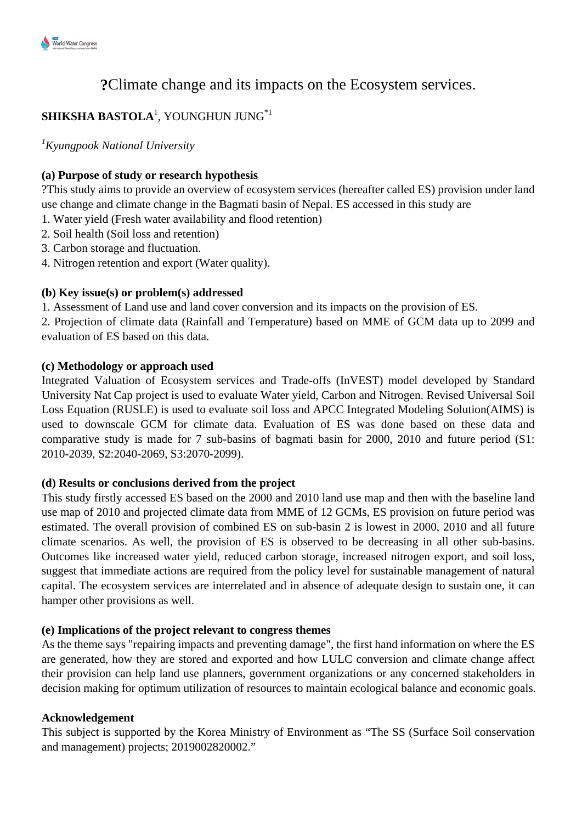

# **?**Climate change and its impacts on the Ecosystem services.

# $\mathbf S$ **HIKSHA BASTOLA** $^1$ **, YOUNGHUN JUNG** $^{*1}$

*<sup>1</sup>Kyungpook National University*

# **(a) Purpose of study or research hypothesis**

?This study aims to provide an overview of ecosystem services (hereafter called ES) provision under land use change and climate change in the Bagmati basin of Nepal. ES accessed in this study are

1. Water yield (Fresh water availability and flood retention)

- 2. Soil health (Soil loss and retention)
- 3. Carbon storage and fluctuation.
- 4. Nitrogen retention and export (Water quality).

# **(b) Key issue(s) or problem(s) addressed**

1. Assessment of Land use and land cover conversion and its impacts on the provision of ES.

2. Projection of climate data (Rainfall and Temperature) based on MME of GCM data up to 2099 and evaluation of ES based on this data.

#### **(c) Methodology or approach used**

Integrated Valuation of Ecosystem services and Trade-offs (InVEST) model developed by Standard University Nat Cap project is used to evaluate Water yield, Carbon and Nitrogen. Revised Universal Soil Loss Equation (RUSLE) is used to evaluate soil loss and APCC Integrated Modeling Solution(AIMS) is used to downscale GCM for climate data. Evaluation of ES was done based on these data and comparative study is made for 7 sub-basins of bagmati basin for 2000, 2010 and future period (S1: 2010-2039, S2:2040-2069, S3:2070-2099).

# **(d) Results or conclusions derived from the project**

This study firstly accessed ES based on the 2000 and 2010 land use map and then with the baseline land use map of 2010 and projected climate data from MME of 12 GCMs, ES provision on future period was estimated. The overall provision of combined ES on sub-basin 2 is lowest in 2000, 2010 and all future climate scenarios. As well, the provision of ES is observed to be decreasing in all other sub-basins. Outcomes like increased water yield, reduced carbon storage, increased nitrogen export, and soil loss, suggest that immediate actions are required from the policy level for sustainable management of natural capital. The ecosystem services are interrelated and in absence of adequate design to sustain one, it can hamper other provisions as well.

# **(e) Implications of the project relevant to congress themes**

As the theme says "repairing impacts and preventing damage", the first hand information on where the ES are generated, how they are stored and exported and how LULC conversion and climate change affect their provision can help land use planners, government organizations or any concerned stakeholders in decision making for optimum utilization of resources to maintain ecological balance and economic goals.

# **Acknowledgement**

This subject is supported by the Korea Ministry of Environment as "The SS (Surface Soil conservation and management) projects; 2019002820002."